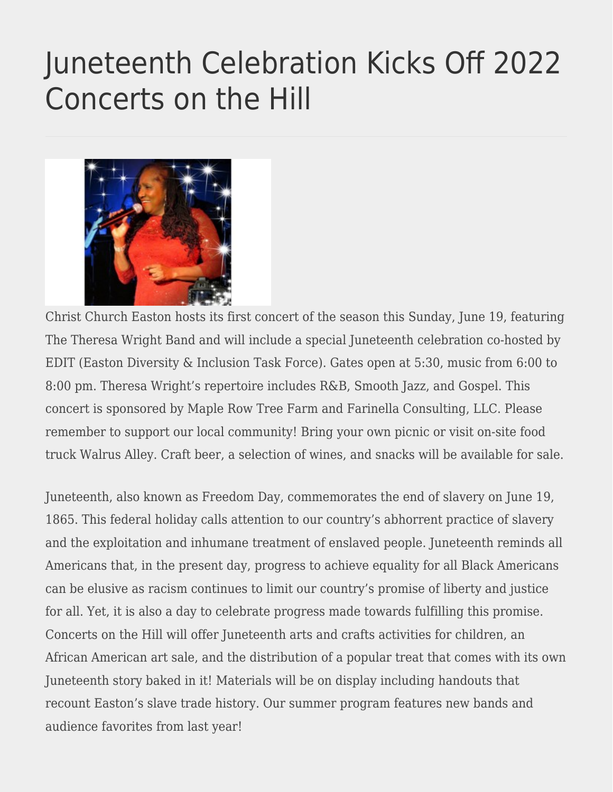## [Juneteenth Celebration Kicks Off 2022](https://eastoncourier.news/2022/06/15/juneteenth-celebration-kicks-off-2022-concerts-on-the-hill/) [Concerts on the Hill](https://eastoncourier.news/2022/06/15/juneteenth-celebration-kicks-off-2022-concerts-on-the-hill/)



Christ Church Easton hosts its first concert of the season this Sunday, June 19, featuring The Theresa Wright Band and will include a special Juneteenth celebration co-hosted by EDIT (Easton Diversity & Inclusion Task Force). Gates open at 5:30, music from 6:00 to 8:00 pm. Theresa Wright's repertoire includes R&B, Smooth Jazz, and Gospel. This concert is sponsored by Maple Row Tree Farm and Farinella Consulting, LLC. Please remember to support our local community! Bring your own picnic or visit on-site food truck Walrus Alley. Craft beer, a selection of wines, and snacks will be available for sale.

Juneteenth, also known as Freedom Day, commemorates the end of slavery on June 19, 1865. This federal holiday calls attention to our country's abhorrent practice of slavery and the exploitation and inhumane treatment of enslaved people. Juneteenth reminds all Americans that, in the present day, progress to achieve equality for all Black Americans can be elusive as racism continues to limit our country's promise of liberty and justice for all. Yet, it is also a day to celebrate progress made towards fulfilling this promise. Concerts on the Hill will offer Juneteenth arts and crafts activities for children, an African American art sale, and the distribution of a popular treat that comes with its own Juneteenth story baked in it! Materials will be on display including handouts that recount Easton's slave trade history. Our summer program features new bands and audience favorites from last year!